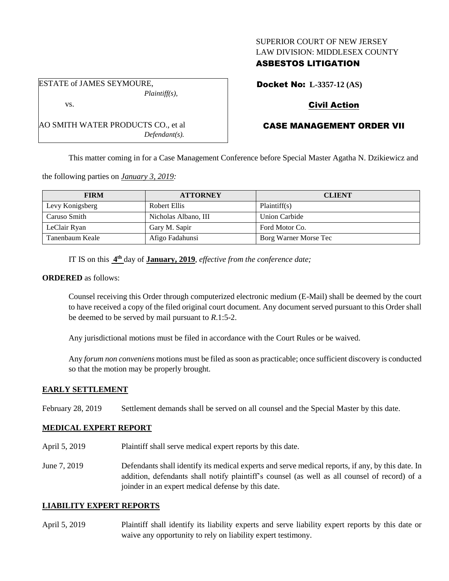## SUPERIOR COURT OF NEW JERSEY LAW DIVISION: MIDDLESEX COUNTY

## ASBESTOS LITIGATION

Docket No: **L-3357-12 (AS)**

## Civil Action

# CASE MANAGEMENT ORDER VII

This matter coming in for a Case Management Conference before Special Master Agatha N. Dzikiewicz and

the following parties on *January 3, 2019:*

AO SMITH WATER PRODUCTS CO., et al

| <b>FIRM</b>     | <b>ATTORNEY</b>      | <b>CLIENT</b>         |
|-----------------|----------------------|-----------------------|
| Levy Konigsberg | Robert Ellis         | Plaintiff(s)          |
| Caruso Smith    | Nicholas Albano, III | Union Carbide         |
| LeClair Ryan    | Gary M. Sapir        | Ford Motor Co.        |
| Tanenbaum Keale | Afigo Fadahunsi      | Borg Warner Morse Tec |

IT IS on this **4 th** day of **January, 2019**, *effective from the conference date;*

*Defendant(s).*

#### **ORDERED** as follows:

Counsel receiving this Order through computerized electronic medium (E-Mail) shall be deemed by the court to have received a copy of the filed original court document. Any document served pursuant to this Order shall be deemed to be served by mail pursuant to *R*.1:5-2.

Any jurisdictional motions must be filed in accordance with the Court Rules or be waived.

Any *forum non conveniens* motions must be filed as soon as practicable; once sufficient discovery is conducted so that the motion may be properly brought.

## **EARLY SETTLEMENT**

February 28, 2019 Settlement demands shall be served on all counsel and the Special Master by this date.

## **MEDICAL EXPERT REPORT**

- April 5, 2019 Plaintiff shall serve medical expert reports by this date.
- June 7, 2019 Defendants shall identify its medical experts and serve medical reports, if any, by this date. In addition, defendants shall notify plaintiff's counsel (as well as all counsel of record) of a joinder in an expert medical defense by this date.

## **LIABILITY EXPERT REPORTS**

April 5, 2019 Plaintiff shall identify its liability experts and serve liability expert reports by this date or waive any opportunity to rely on liability expert testimony.

ESTATE of JAMES SEYMOURE, *Plaintiff(s),*

vs.